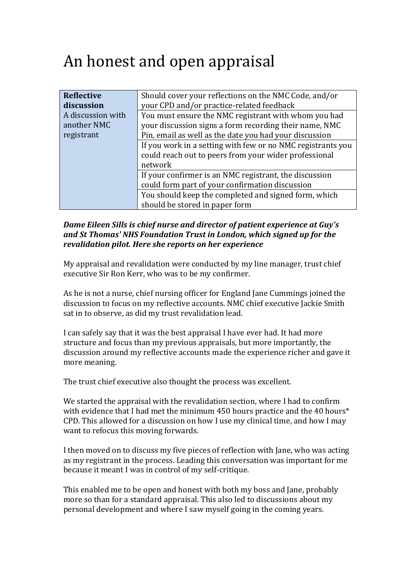## An honest and open appraisal

| Reflective        | Should cover your reflections on the NMC Code, and/or       |
|-------------------|-------------------------------------------------------------|
| discussion        | your CPD and/or practice-related feedback                   |
| A discussion with | You must ensure the NMC registrant with whom you had        |
| another NMC       | your discussion signs a form recording their name, NMC      |
| registrant        | Pin, email as well as the date you had your discussion      |
|                   | If you work in a setting with few or no NMC registrants you |
|                   | could reach out to peers from your wider professional       |
|                   | network                                                     |
|                   | If your confirmer is an NMC registrant, the discussion      |
|                   | could form part of your confirmation discussion             |
|                   | You should keep the completed and signed form, which        |
|                   | should be stored in paper form                              |

## *Dame Eileen Sills is chief nurse and director of patient experience at Guy's* and St Thomas' NHS Foundation Trust in London, which sianed up for the revalidation pilot. Here she reports on her experience

My appraisal and revalidation were conducted by my line manager, trust chief executive Sir Ron Kerr, who was to be my confirmer.

As he is not a nurse, chief nursing officer for England Jane Cummings joined the discussion to focus on my reflective accounts. NMC chief executive Jackie Smith sat in to observe, as did my trust revalidation lead.

I can safely say that it was the best appraisal I have ever had. It had more structure and focus than my previous appraisals, but more importantly, the discussion around my reflective accounts made the experience richer and gave it more meaning.

The trust chief executive also thought the process was excellent.

We started the appraisal with the revalidation section, where I had to confirm with evidence that I had met the minimum  $450$  hours practice and the  $40$  hours\* CPD. This allowed for a discussion on how I use my clinical time, and how I may want to refocus this moving forwards.

I then moved on to discuss my five pieces of reflection with Jane, who was acting as my registrant in the process. Leading this conversation was important for me because it meant I was in control of my self-critique.

This enabled me to be open and honest with both my boss and Jane, probably more so than for a standard appraisal. This also led to discussions about my personal development and where I saw myself going in the coming years.